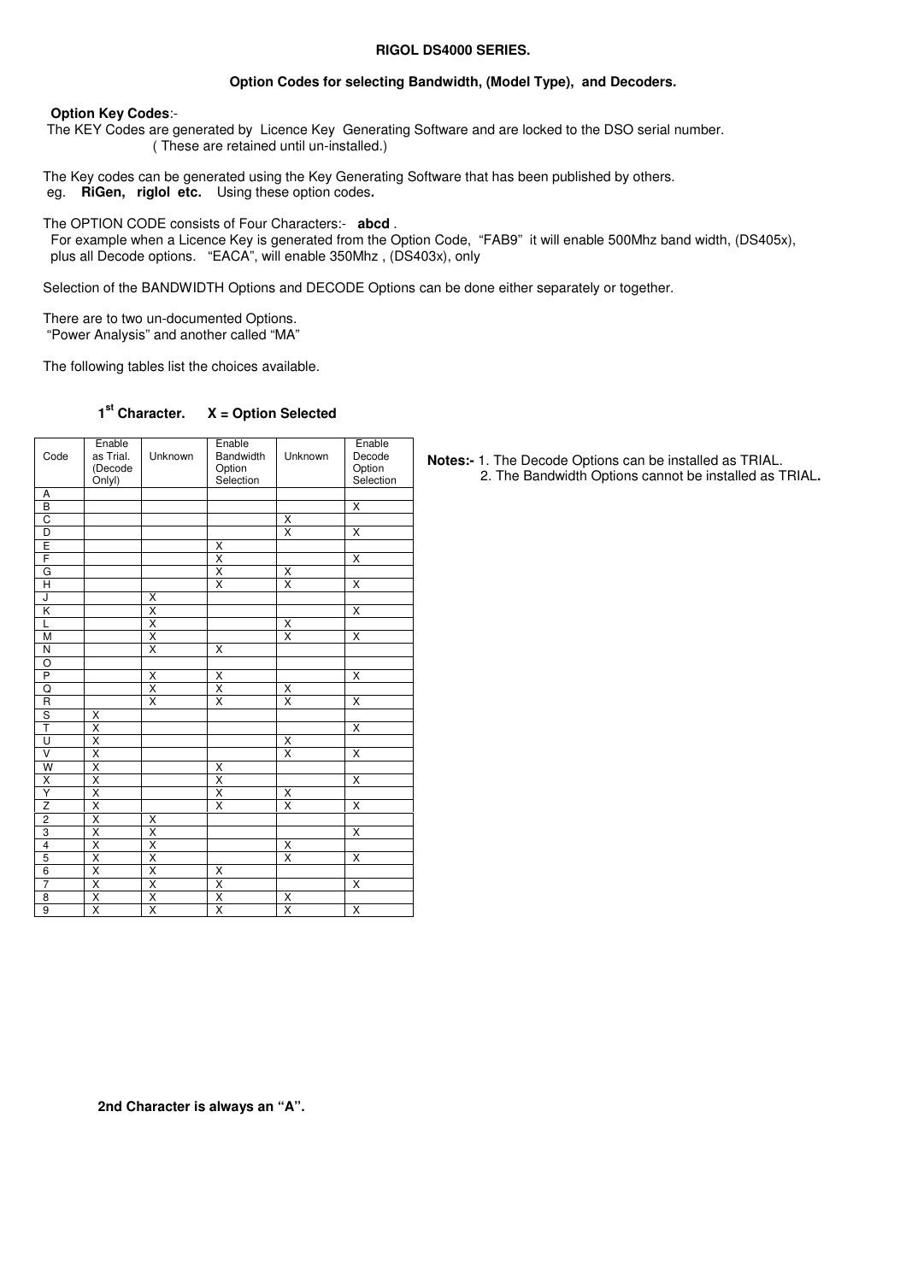#### **RIGOL DS4000 SERIES.**

## **Option Codes for selecting Bandwidth, (Model Type), and Decoders.**

### **Option Key Codes**:-

 The KEY Codes are generated by Licence Key Generating Software and are locked to the DSO serial number. ( These are retained until un-installed.)

The Key codes can be generated using the Key Generating Software that has been published by others.<br>eg. RiGen, riglol etc. Using these option codes. eg. **RiGen, riglol etc.** Using these option codes**.**

The OPTION CODE consists of Four Characters:- **abcd** .

 For example when a Licence Key is generated from the Option Code, "FAB9" it will enable 500Mhz band width, (DS405x), plus all Decode options. "EACA", will enable 350Mhz , (DS403x), only

Selection of the BANDWIDTH Options and DECODE Options can be done either separately or together.

There are to two un-documented Options. "Power Analysis" and another called "MA"

The following tables list the choices available.

#### 1<sup>st</sup> Character. **st Character. X = Option Selected**

| Code                    | Enable<br>as Trial.<br>(Decode<br>Onlyl) | Unknown                 | Enable<br>Bandwidth<br>Option<br>Selection | Unknown                         | Enable<br>Decode<br>Option<br>Selection |
|-------------------------|------------------------------------------|-------------------------|--------------------------------------------|---------------------------------|-----------------------------------------|
| А                       |                                          |                         |                                            |                                 |                                         |
| $\overline{B}$          |                                          |                         |                                            |                                 | $\overline{\mathsf{x}}$                 |
| C                       |                                          |                         |                                            | $\overline{\mathsf{x}}$         |                                         |
| $\overline{\mathsf{D}}$ |                                          |                         |                                            | $\overline{\mathsf{x}}$         | X                                       |
| E                       |                                          |                         | Χ                                          |                                 |                                         |
| F                       |                                          |                         | χ                                          |                                 | $\overline{\mathsf{x}}$                 |
| G                       |                                          |                         |                                            |                                 |                                         |
| Ή                       |                                          |                         | $\frac{\overline{x}}{\overline{x}}$        | $\frac{\mathsf{x}}{\mathsf{x}}$ | $\overline{\mathsf{x}}$                 |
| J                       |                                          | Χ                       |                                            |                                 |                                         |
| Κ                       |                                          | $\overline{\mathsf{x}}$ |                                            |                                 | $\overline{\mathsf{x}}$                 |
| Ĺ                       |                                          | $\overline{\mathsf{x}}$ |                                            | $\overline{\mathsf{X}}$         |                                         |
| M                       |                                          | $\overline{\mathsf{x}}$ |                                            | $\overline{\mathsf{x}}$         | X                                       |
| N                       |                                          | $\overline{\mathsf{x}}$ | Χ                                          |                                 |                                         |
| $\overline{O}$          |                                          |                         |                                            |                                 |                                         |
| P                       |                                          | Χ                       | Χ                                          |                                 | X                                       |
|                         |                                          | $\overline{\mathsf{x}}$ | $\overline{\mathsf{x}}$                    | Χ                               |                                         |
| $\frac{Q}{T}$           |                                          | $\overline{\mathsf{x}}$ | $\overline{\mathsf{x}}$                    | X                               | Χ                                       |
|                         |                                          |                         |                                            |                                 |                                         |
|                         |                                          |                         |                                            |                                 | X                                       |
| $\overline{\mathsf{U}}$ | $\frac{X}{X}$<br>$\frac{X}{X}$           |                         |                                            | Χ                               |                                         |
| $\overline{\mathsf{v}}$ |                                          |                         |                                            | $\overline{\mathsf{x}}$         | $\overline{\mathsf{x}}$                 |
| W                       | $\overline{\mathsf{x}}$                  |                         | X                                          |                                 |                                         |
|                         | $\frac{x}{x}$                            |                         | $\overline{\mathsf{X}}$                    |                                 | $\overline{\mathsf{x}}$                 |
| $\times$                |                                          |                         | χ                                          | Χ                               |                                         |
|                         | $\overline{\mathsf{x}}$                  |                         | $\overline{\mathsf{x}}$                    | $\overline{\mathsf{x}}$         | $\overline{\mathsf{x}}$                 |
| $\overline{c}$          | $\overline{\mathsf{x}}$                  | Χ                       |                                            |                                 |                                         |
| 3                       | $\overline{\mathsf{x}}$                  | $\overline{\mathsf{x}}$ |                                            |                                 | X                                       |
| $\overline{4}$          | $\overline{\mathsf{x}}$                  | Χ                       |                                            | $\overline{\mathsf{x}}$         |                                         |
| 5                       | $\overline{\mathsf{x}}$                  | $\overline{\mathsf{x}}$ |                                            | $\overline{\mathsf{x}}$         | $\overline{\mathsf{x}}$                 |
| 6                       | $\overline{\mathsf{x}}$                  | $\overline{\mathsf{x}}$ | $\overline{\mathsf{x}}$                    |                                 |                                         |
| $\overline{7}$          | $\overline{\mathsf{x}}$                  | $\overline{\mathsf{x}}$ | Χ                                          |                                 | X                                       |
| 8                       | X                                        | χ                       | $\frac{\mathsf{X}}{\mathsf{X}}$            | $\frac{x}{x}$                   |                                         |
| $\overline{9}$          | $\overline{\mathsf{x}}$                  | Χ                       |                                            |                                 | $\overline{\mathsf{x}}$                 |

**Notes:-** 1. The Decode Options can be installed as TRIAL. 2. The Bandwidth Options cannot be installed as TRIAL**.**

 **2nd Character is always an "A".**